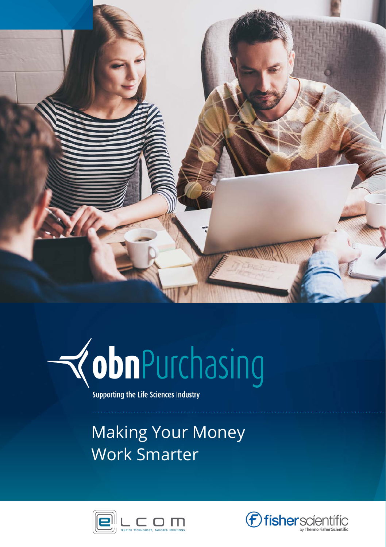



Supporting the Life Sciences Industry

### Making Your Money Work Smarter



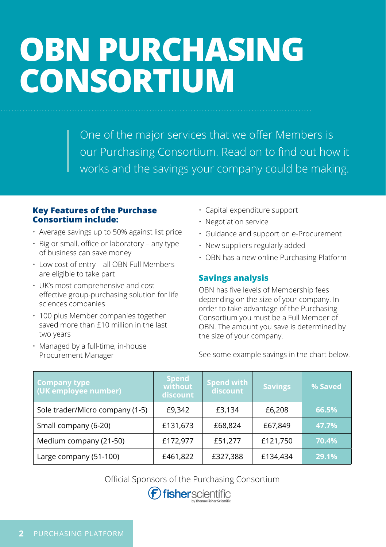## **OBN PURCHASING CONSORTIUM**

One of the major services that we offer Members is our Purchasing Consortium. Read on to find out how it works and the savings your company could be making.

#### **Key Features of the Purchase Consortium include:**

- Average savings up to 50% against list price
- Big or small, office or laboratory any type of business can save money
- Low cost of entry all OBN Full Members are eligible to take part
- UK's most comprehensive and costeffective group-purchasing solution for life sciences companies
- 100 plus Member companies together saved more than £10 million in the last two years
- Managed by a full-time, in-house Procurement Manager
- Capital expenditure support
- Negotiation service
- Guidance and support on e-Procurement
- New suppliers regularly added
- OBN has a new online Purchasing Platform

### **Savings analysis**

OBN has five levels of Membership fees depending on the size of your company. In order to take advantage of the Purchasing Consortium you must be a Full Member of OBN. The amount you save is determined by the size of your company.

See some example savings in the chart below.

| <b>Company type</b><br>(UK employee number) | <b>Spend</b><br>without<br>discount | <b>Spend with</b><br>discount | <b>Savings</b> | % Saved |
|---------------------------------------------|-------------------------------------|-------------------------------|----------------|---------|
| Sole trader/Micro company (1-5)             | £9.342                              | £3,134                        | £6,208         | 66.5%   |
| Small company (6-20)                        | £131,673                            | £68,824                       | £67.849        | 47.7%   |
| Medium company (21-50)                      | £172,977                            | £51,277                       | £121,750       | 70.4%   |
| Large company (51-100)                      | £461,822                            | £327,388                      | £134,434       | 29.1%   |

Official Sponsors of the Purchasing Consortium

fisherscientific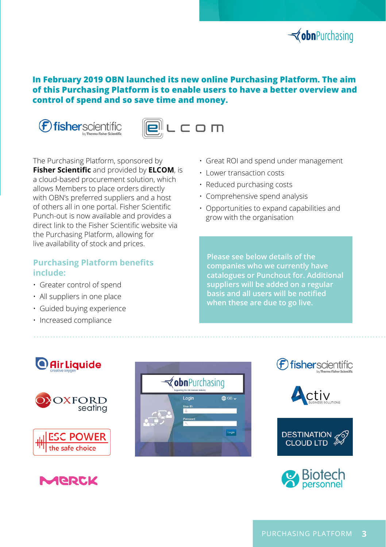

### **In February 2019 OBN launched its new online Purchasing Platform. The aim of this Purchasing Platform is to enable users to have a better overview and control of spend and so save time and money.**





The Purchasing Platform, sponsored by **Fisher Scientific** and provided by **ELCOM**, is a cloud-based procurement solution, which allows Members to place orders directly with OBN's preferred suppliers and a host of others all in one portal. Fisher Scientific Punch-out is now available and provides a direct link to the Fisher Scientific website via the Purchasing Platform, allowing for live availability of stock and prices.

### **Purchasing Platform benefits include:**

- Greater control of spend
- All suppliers in one place
- Guided buying experience
- Increased compliance
- Great ROI and spend under management
- Lower transaction costs
- Reduced purchasing costs
- Comprehensive spend analysis
- Opportunities to expand capabilities and grow with the organisation

**Please see below details of the companies who we currently have catalogues or Punchout for. Additional suppliers will be added on a regular basis and all users will be notified** 

### **O** Air Liquide















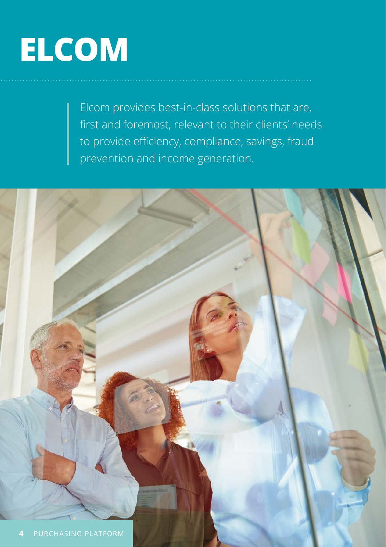# **ELCOM**

Elcom provides best-in-class solutions that are, first and foremost, relevant to their clients' needs to provide efficiency, compliance, savings, fraud prevention and income generation.

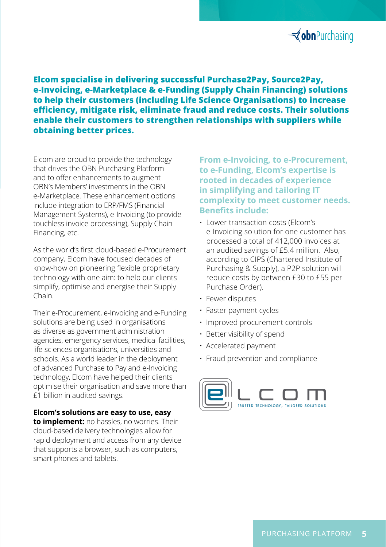

**Elcom specialise in delivering successful Purchase2Pay, Source2Pay, e-Invoicing, e-Marketplace & e-Funding (Supply Chain Financing) solutions to help their customers (including Life Science Organisations) to increase efficiency, mitigate risk, eliminate fraud and reduce costs. Their solutions enable their customers to strengthen relationships with suppliers while obtaining better prices.** 

Elcom are proud to provide the technology that drives the OBN Purchasing Platform and to offer enhancements to augment OBN's Members' investments in the OBN e-Marketplace. These enhancement options include integration to ERP/FMS (Financial Management Systems), e-Invoicing (to provide touchless invoice processing), Supply Chain Financing, etc.

As the world's first cloud-based e-Procurement company, Elcom have focused decades of know-how on pioneering flexible proprietary technology with one aim: to help our clients simplify, optimise and energise their Supply Chain.

Their e-Procurement, e-Invoicing and e-Funding solutions are being used in organisations as diverse as government administration agencies, emergency services, medical facilities, life sciences organisations, universities and schools. As a world leader in the deployment of advanced Purchase to Pay and e-Invoicing technology, Elcom have helped their clients optimise their organisation and save more than £1 billion in audited savings.

**Elcom's solutions are easy to use, easy to implement:** no hassles, no worries. Their cloud-based delivery technologies allow for rapid deployment and access from any device that supports a browser, such as computers, smart phones and tablets.

**From e-Invoicing, to e-Procurement, to e-Funding, Elcom's expertise is rooted in decades of experience in simplifying and tailoring IT complexity to meet customer needs. Benefits include:**

- Lower transaction costs (Elcom's e-Invoicing solution for one customer has processed a total of 412,000 invoices at an audited savings of £5.4 million. Also, according to CIPS (Chartered Institute of Purchasing & Supply), a P2P solution will reduce costs by between £30 to £55 per Purchase Order).
- Fewer disputes
- Faster payment cycles
- Improved procurement controls
- Better visibility of spend
- Accelerated payment
- Fraud prevention and compliance

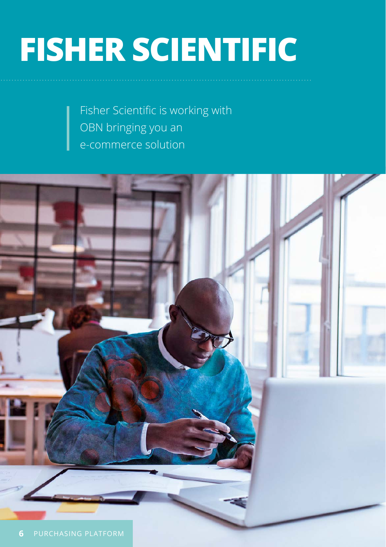# **FISHER SCIENTIFIC**

Fisher Scientific is working with OBN bringing you an e-commerce solution

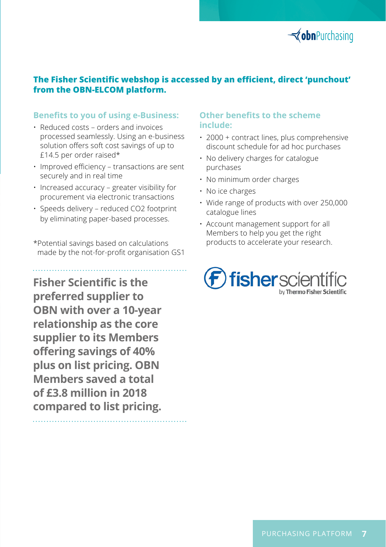

### **The Fisher Scientific webshop is accessed by an efficient, direct 'punchout' from the OBN-ELCOM platform.**

#### **Benefits to you of using e-Business:**

- Reduced costs orders and invoices processed seamlessly. Using an e-business solution offers soft cost savings of up to £14.5 per order raised\*
- Improved efficiency transactions are sent securely and in real time
- Increased accuracy greater visibility for procurement via electronic transactions
- Speeds delivery reduced CO2 footprint by eliminating paper-based processes.
- \*Potential savings based on calculations made by the not-for-profit organisation GS1

**Fisher Scientific is the preferred supplier to OBN with over a 10-year relationship as the core supplier to its Members offering savings of 40% plus on list pricing. OBN Members saved a total of £3.8 million in 2018 compared to list pricing.** 

### **Other benefits to the scheme include:**

- 2000 + contract lines, plus comprehensive discount schedule for ad hoc purchases
- No delivery charges for catalogue purchases
- No minimum order charges
- No ice charges
- Wide range of products with over 250,000 catalogue lines
- Account management support for all Members to help you get the right products to accelerate your research.